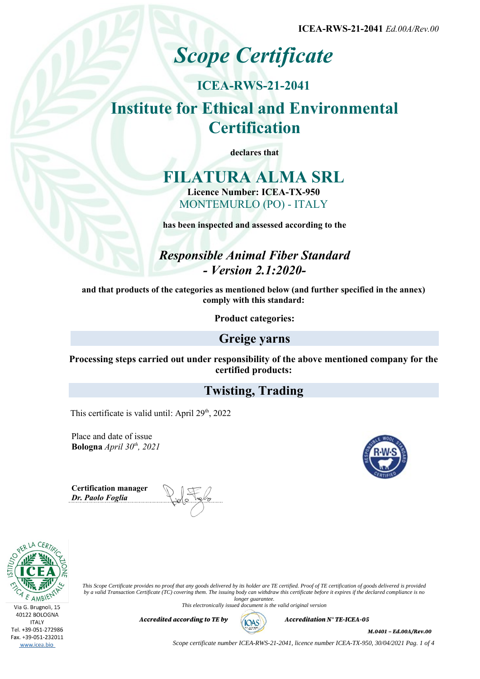**ICEA-RWS-21-2041** *Ed.00A/Rev.00*

# *Scope Certificate*

## **ICEA-RWS-21-2041 Institute for Ethical and Environmental Certification**

**declares that**

## **FILATURA ALMA SRL Licence Number: ICEA-TX-950** MONTEMURLO (PO) - ITALY

**has been inspected and assessed according to the**

*Responsible Animal Fiber Standard - Version 2.1:2020-*

**and that products of the categories as mentioned below (and further specified in the annex) comply with this standard:**

**Product categories:**

## **Greige yarns**

**Processing steps carried out under responsibility of the above mentioned company for the certified products:**

## **Twisting, Trading**

This certificate is valid until: April  $29<sup>th</sup>$ ,  $2022$ 

Place and date of issue **Bologna** *April 30th, 2021*

**Certification manager** *Dr. Paolo Foglia*





*This Scope Certificate provides no proof that any goods delivered by its holder are TE certified. Proof of TE certification of goods delivered is provided by a valid Transaction Certificate (TC) covering them. The issuing body can withdraw this certificate before it expires if the declared compliance is no longer guarantee.*

*This electronically issued document is the valid original version*



*Accredited according to TE by*  $(AOS)$  *Accreditation N° TE-ICEA-05* 

*M.0401 – Ed.00A/Rev.00*

*Scope certificate number ICEA-RWS-21-2041, licence number ICEA-TX-950, 30/04/2021 Pag. 1 of 4*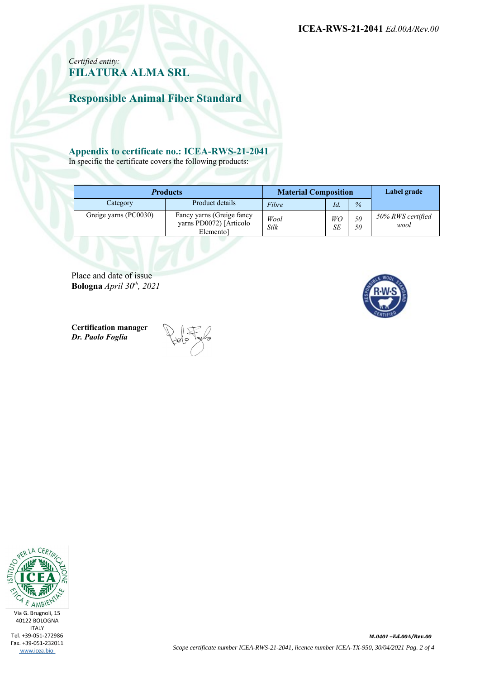**ICEA-RWS-21-2041** *Ed.00A/Rev.00*

### *Certified entity:* **FILATURA ALMA SRL**

**Responsible Animal Fiber Standard**

#### **Appendix to certificate no.: ICEA-RWS-21-2041**

In specific the certificate covers the following products:

| <b>Products</b>       |                                                                    | <b>Material Composition</b> |          |          | Label grade               |
|-----------------------|--------------------------------------------------------------------|-----------------------------|----------|----------|---------------------------|
| Category              | Product details                                                    | Fibre                       | Id.      | $\%$     |                           |
| Greige yarns (PC0030) | Fancy yarns (Greige fancy<br>yarns PD0072) [Articolo]<br>Elementol | Wool<br><b>Silk</b>         | WO<br>SЕ | 50<br>50 | 50% RWS certified<br>wool |

Place and date of issue **Bologna** *April 30th, 2021*

**Certification manager** *Dr. Paolo Foglia*



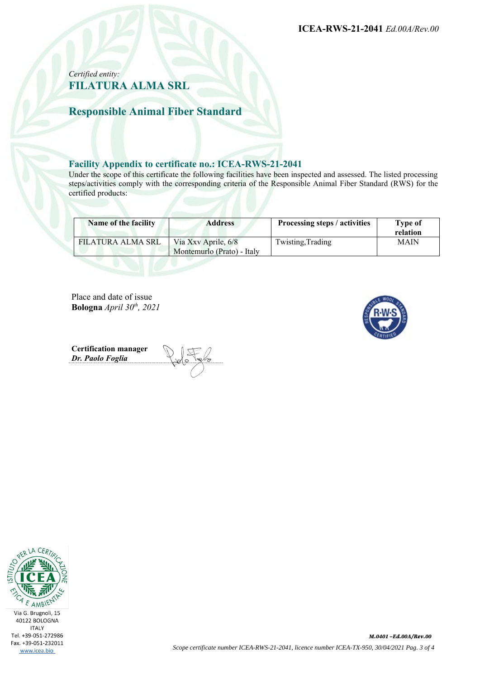**ICEA-RWS-21-2041** *Ed.00A/Rev.00*

#### *Certified entity:* **FILATURA ALMA SRL**

**Responsible Animal Fiber Standard**

#### **Facility Appendix to certificate no.: ICEA-RWS-21-2041**

Under the scope of this certificate the following facilities have been inspected and assessed. The listed processing steps/activities comply with the corresponding criteria of the Responsible Animal Fiber Standard (RWS) for the certified products:

| Name of the facility | <b>Address</b>                                    | Processing steps / activities | Type of<br>relation |
|----------------------|---------------------------------------------------|-------------------------------|---------------------|
| FILATURA ALMA SRL    | Via Xxv Aprile, 6/8<br>Montemurlo (Prato) - Italy | Twisting, Trading             | <b>MAIN</b>         |

Place and date of issue **Bologna** *April 30th, 2021*



**Certification manager** *Dr. Paolo Foglia*